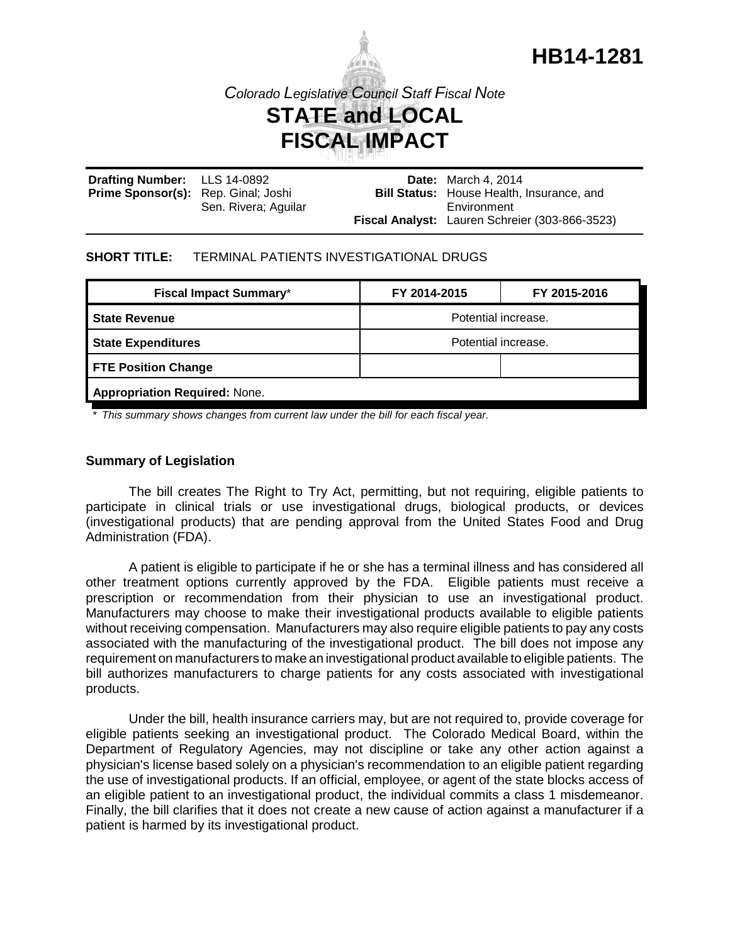

# *Colorado Legislative Council Staff Fiscal Note* **STATE and LOCAL FISCAL IMPACT**

| Drafting Number: LLS 14-0892               |                      | <b>Date:</b> March 4, 2014                       |  |
|--------------------------------------------|----------------------|--------------------------------------------------|--|
| <b>Prime Sponsor(s):</b> Rep. Ginal; Joshi |                      | <b>Bill Status:</b> House Health, Insurance, and |  |
|                                            | Sen. Rivera; Aguilar | Environment                                      |  |
|                                            |                      | Fiscal Analyst: Lauren Schreier (303-866-3523)   |  |

#### **SHORT TITLE:** TERMINAL PATIENTS INVESTIGATIONAL DRUGS

| <b>Fiscal Impact Summary*</b>        | FY 2014-2015        | FY 2015-2016 |  |  |
|--------------------------------------|---------------------|--------------|--|--|
| <b>State Revenue</b>                 | Potential increase. |              |  |  |
| <b>State Expenditures</b>            | Potential increase. |              |  |  |
| <b>FTE Position Change</b>           |                     |              |  |  |
| <b>Appropriation Required: None.</b> |                     |              |  |  |
|                                      |                     |              |  |  |

*\* This summary shows changes from current law under the bill for each fiscal year.* 

## **Summary of Legislation**

The bill creates The Right to Try Act, permitting, but not requiring, eligible patients to participate in clinical trials or use investigational drugs, biological products, or devices (investigational products) that are pending approval from the United States Food and Drug Administration (FDA).

A patient is eligible to participate if he or she has a terminal illness and has considered all other treatment options currently approved by the FDA. Eligible patients must receive a prescription or recommendation from their physician to use an investigational product. Manufacturers may choose to make their investigational products available to eligible patients without receiving compensation. Manufacturers may also require eligible patients to pay any costs associated with the manufacturing of the investigational product. The bill does not impose any requirement on manufacturers to make an investigational product available to eligible patients. The bill authorizes manufacturers to charge patients for any costs associated with investigational products.

Under the bill, health insurance carriers may, but are not required to, provide coverage for eligible patients seeking an investigational product. The Colorado Medical Board, within the Department of Regulatory Agencies, may not discipline or take any other action against a physician's license based solely on a physician's recommendation to an eligible patient regarding the use of investigational products. If an official, employee, or agent of the state blocks access of an eligible patient to an investigational product, the individual commits a class 1 misdemeanor. Finally, the bill clarifies that it does not create a new cause of action against a manufacturer if a patient is harmed by its investigational product.